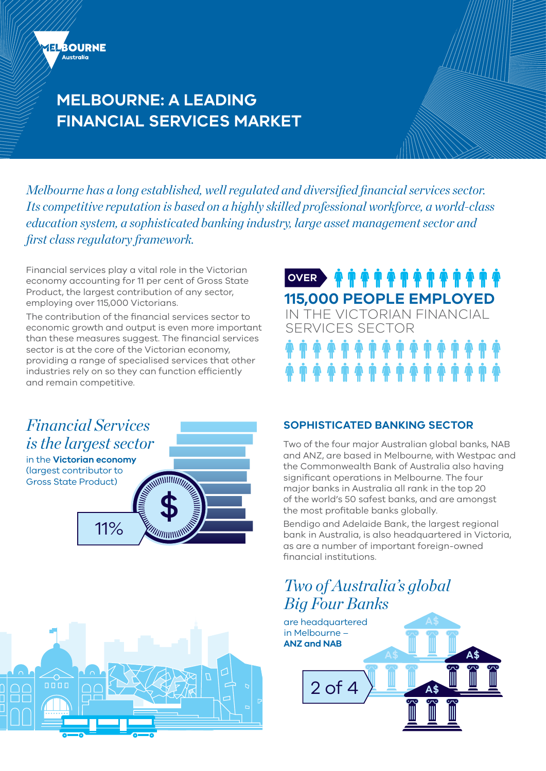

# **MELBOURNE: A LEADING FINANCIAL SERVICES MARKET**

*Melbourne has a long established, well regulated and diversified financial services sector. Its competitive reputation is based on a highly skilled professional workforce, a world-class education system, a sophisticated banking industry, large asset management sector and first class regulatory framework.*

Financial services play a vital role in the Victorian economy accounting for 11 per cent of Gross State Product, the largest contribution of any sector, employing over 115,000 Victorians.

The contribution of the financial services sector to economic growth and output is even more important than these measures suggest. The financial services sector is at the core of the Victorian economy, providing a range of specialised services that other industries rely on so they can function efficiently and remain competitive.

# *Financial Services is the largest sector*

in the **Victorian economy**  (largest contributor to Gross State Product)





**OVER · A T A T A T A T A T A 115,000 PEOPLE EMPLOYED** IN THE VICTORIAN FINANCIAL

SERVICES SECTOR

### **SOPHISTICATED BANKING SECTOR**

Two of the four major Australian global banks, NAB and ANZ, are based in Melbourne, with Westpac and the Commonwealth Bank of Australia also having significant operations in Melbourne. The four major banks in Australia all rank in the top 20 of the world's 50 safest banks, and are amongst the most profitable banks globally.

Bendigo and Adelaide Bank, the largest regional bank in Australia, is also headquartered in Victoria, as are a number of important foreign-owned financial institutions.

# *Two of Australia's global Big Four Banks*